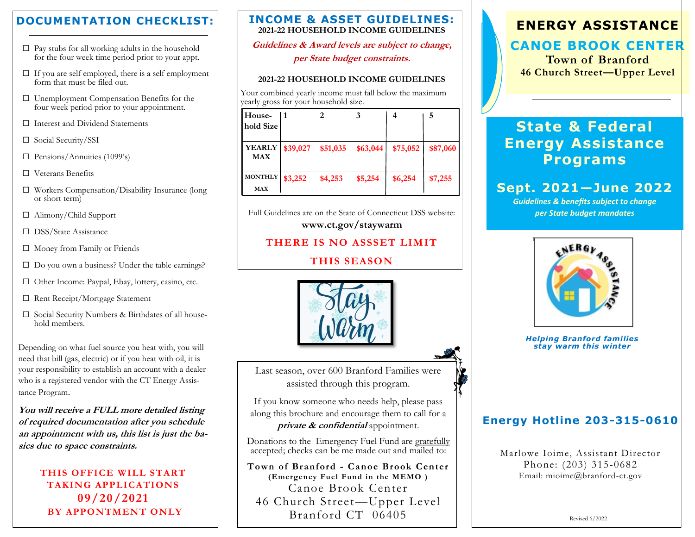## **DOCUMENTATION CHECKLIST:**

- $\Box$  Pay stubs for all working adults in the household for the four week time period prior to your appt.
- $\square$  If you are self employed, there is a self employment form that must be filed out.
- □ Unemployment Compensation Benefits for the four week period prior to your appointment.
- □ Interest and Dividend Statements
- □ Social Security/SSI
- $\square$  Pensions/Annuities (1099's)
- □ Veterans Benefits
- □ Workers Compensation/Disability Insurance (long or short term)
- □ Alimony/Child Support
- □ DSS/State Assistance
- □ Money from Family or Friends
- $\Box$  Do you own a business? Under the table earnings?
- □ Other Income: Paypal, Ebay, lottery, casino, etc.
- □ Rent Receipt/Mortgage Statement
- □ Social Security Numbers & Birthdates of all household members.

Depending on what fuel source you heat with, you will need that bill (gas, electric) or if you heat with oil, it is your responsibility to establish an account with a dealer who is a registered vendor with the CT Energy Assistance Program.

**You will receive a FULL more detailed listing of required documentation after you schedule an appointment with us, this list is just the basics due to space constraints.**

> **THIS OFFICE WILL START TAKING APPLICATIONS 09/20/2021 BY APPONTMENT ONLY**

#### **INCOME & ASSET GUIDELINES: 2021-22 HOUSEHOLD INCOME GUIDELINES**

**Guidelines & Award levels are subject to change,**

**per State budget constraints.**

#### **2021-22 HOUSEHOLD INCOME GUIDELINES**

Your combined yearly income must fall below the maximum yearly gross for your household size.

| House-         |          | 2        | 3        |          | 5        |
|----------------|----------|----------|----------|----------|----------|
| hold Size      |          |          |          |          |          |
|                |          |          |          |          |          |
| <b>YEARLY</b>  | \$39,027 | \$51,035 | \$63,044 | \$75,052 | \$87,060 |
| <b>MAX</b>     |          |          |          |          |          |
|                |          |          |          |          |          |
| <b>MONTHLY</b> | \$3,252  | \$4,253  | \$5,254  | \$6,254  | \$7,255  |
| <b>MAX</b>     |          |          |          |          |          |

Full Guidelines are on the State of Connecticut DSS website: **www.ct.gov/staywarm**

#### **THERE IS NO ASSSET LIMIT**

## **THIS SEASON**



Last season, over 600 Branford Families were assisted through this program.

If you know someone who needs help, please pass along this brochure and encourage them to call for a **private & confidential** appointment.

Donations to the Emergency Fuel Fund are gratefully accepted; checks can be me made out and mailed to:

**Town of Branford - Canoe Brook Center (Emergency Fuel Fund in the MEMO )** Canoe Brook Center 46 Church Street—Upper Level Branford CT 06405

# **ENERGY ASSISTANCE**

# **CANOE BROOK CENTER**

**Town of Branford 46 Church Street—Upper Level** 

# **State & Federal Energy Assistance Programs**

# **Sept. 2021—June 2022**

*Guidelines & benefits subject to change per State budget mandates*



*Helping Branford families stay warm this winter*

# **Energy Hotline 203-315-0610**

Marlowe Ioime, Assistant Director Phone: (203) 315 -0682 Email: mioime@branford-ct.gov